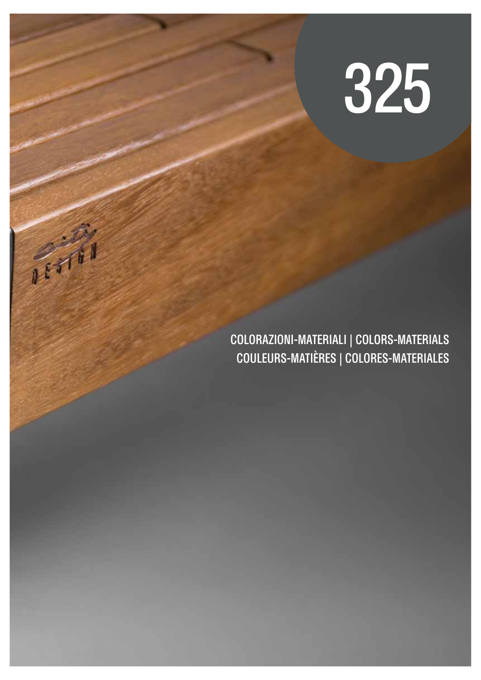# 325

COLORAZIONI-MATERIALI | COLORS-MATERIALS COULEURS-MATIÈRES | COLORES-MATERIALES

新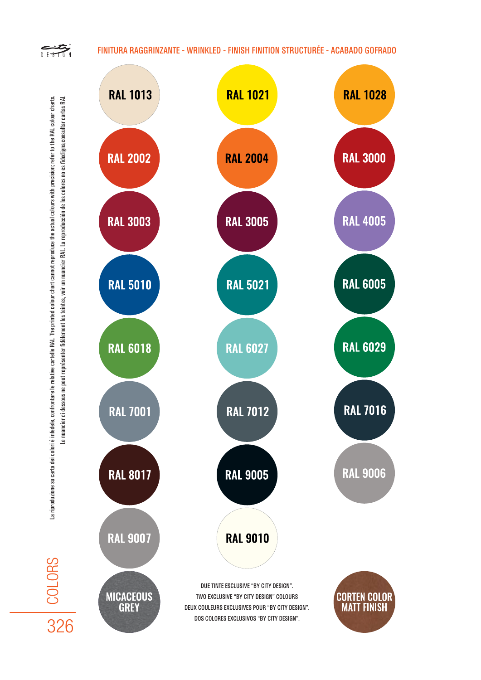## FINITURA RAGGRINZANTE - WRINKLED - FINISH FINITION STRUCTURÉE - ACABADO GOFRADO

 $\sum_{\ell \in \mathcal{I}}$ 





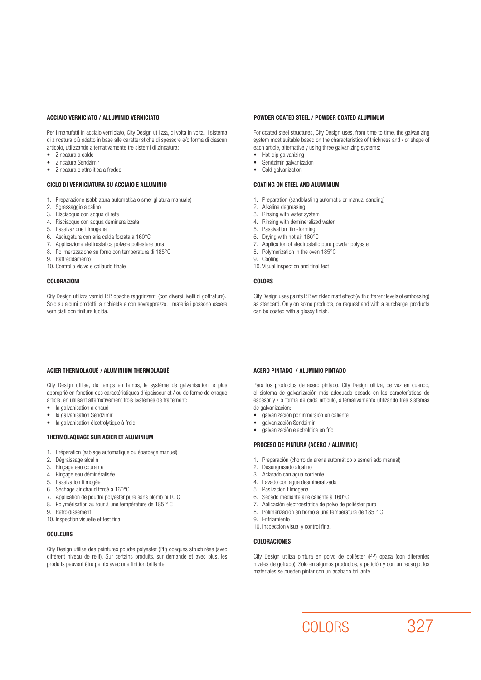#### ACCIAIO VERNICIATO / ALLUMINIO VERNICIATO

Per i manufatti in acciaio verniciato, City Design utilizza, di volta in volta, il sistema di zincatura più adatto in base alle caratteristiche di spessore e/o forma di ciascun articolo, utilizzando alternativamente tre sistemi di zincatura:

- Zincatura a caldo
- Zincatura Sendzimir
- Zincatura elettrolitica a freddo

#### CICLO DI VERNICIATURA SU ACCIAIO E ALLUMINIO

- 1. Preparazione (sabbiatura automatica o smerigliatura manuale)
- 2. Sgrassaggio alcalino
- 3. Risciacquo con acqua di rete
- 4. Risciacquo con acqua demineralizzata
- 5. Passivazione filmogena
- 6. Asciugatura con aria calda forzata a 160°C
- 7. Applicazione elettrostatica polvere poliestere pura
- 8. Polimerizzazione su forno con temperatura di 185°C
- 9. Raffreddamento
- 10. Controllo visivo e collaudo finale

#### COLORAZIONI

City Design utilizza vernici P.P. opache raggrinzanti (con diversi livelli di goffratura). Solo su alcuni prodotti, a richiesta e con sovrapprezzo, i materiali possono essere verniciati con finitura lucida.

#### POWDER COATED STEEL / POWDER COATED ALUMINUM

For coated steel structures, City Design uses, from time to time, the galvanizing system most suitable based on the characteristics of thickness and / or shape of each article, alternatively using three galvanizing systems:

- Hot-dip galvanizing
- Sendzimir galvanization
- Cold galvanization

#### COATING ON STEEL AND ALUMINIUM

- 1. Preparation (sandblasting automatic or manual sanding)
- 2. Alkaline degreasing
- 3. Rinsing with water system
- 4. Rinsing with demineralized water
- 5. Passivation film-forming
- 6. Drying with hot air 160°C
- 7. Application of electrostatic pure powder polyester
- 8. Polymerization in the oven 185°C
- 9. Cooling
- 10. Visual inspection and final test

#### COLORS

City Design uses paints P.P. wrinkled matt effect (with different levels of embossing) as standard. Only on some products, on request and with a surcharge, products can be coated with a glossy finish.

## ACIER THERMOLAQUÉ / ALUMINIUM THERMOLAQUÉ

City Design utilise, de temps en temps, le système de galvanisation le plus approprié en fonction des caractéristiques d'épaisseur et / ou de forme de chaque article, en utilisant alternativement trois systèmes de traitement:

- la galvanisation à chaud
- la galvanisation Sendzimir
- la galvanisation électrolytique à froid

### THERMOLAQUAGE SUR ACIER ET ALUMINIUM

- 1. Préparation (sablage automatique ou ébarbage manuel)
- 2. Dégraissage alcalin
- 3. Rinçage eau courante
- 4. Rinçage eau déminéralisée
- 5. Passivation filmogèe
- 6. Séchage air chaud forcé a 160°C
- 7. Application de poudre polyester pure sans plomb ni TGIC
- 8. Polymérisation au four à une température de 185 ° C
- 9. Refroidissement
- 10. Inspection visuelle et test final

### **COULEURS**

City Design utilise des peintures poudre polyester (PP) opaques structurées (avec différent niveau de relif). Sur certains produits, sur demande et avec plus, les produits peuvent être peints avec une finition brillante.

#### ACERO PINTADO / ALUMINIO PINTADO

Para los productos de acero pintado, City Design utiliza, de vez en cuando, el sistema de galvanización más adecuado basado en las características de espesor y / o forma de cada artículo, alternativamente utilizando tres sistemas de galvanización:

- galvanización por inmersión en caliente
- galvanización Sendzimir
- galvanización electrolítica en frío

#### PROCESO DE PINTURA (ACERO / ALUMINIO)

- 1. Preparación (chorro de arena automático o esmerilado manual)
- 2. Desengrasado alcalino
- 3. Aclarado con agua corriente
- 4. Lavado con agua desmineralizada
- 5. Pasivacion filmogena
- 6. Secado mediante aire caliente à 160°C
- 7. Aplicación electroestática de polvo de poliéster puro
- 8. Polimerización en horno a una temperatura de 185 ° C
- 9. Enfriamiento
- 10. Inspección visual y control final.

#### COLORACIONES

City Design utiliza pintura en polvo de poliéster (PP) opaca (con diferentes niveles de gofrado). Solo en algunos productos, a petición y con un recargo, los materiales se pueden pintar con un acabado brillante.

COLORS 327

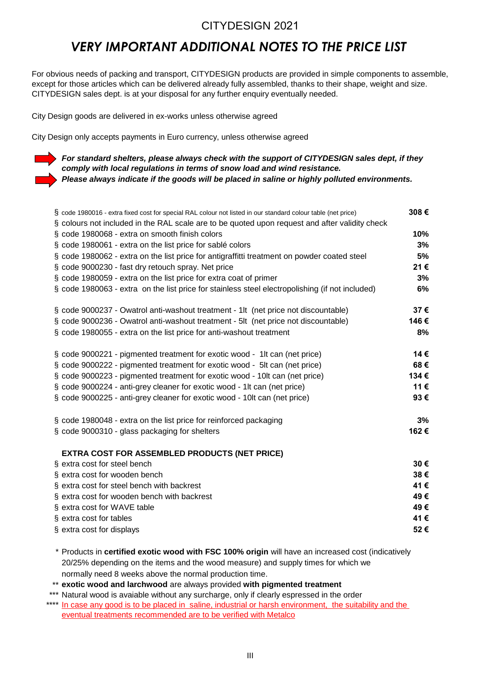# *VERY IMPORTANT ADDITIONAL NOTES TO THE PRICE LIST*

For obvious needs of packing and transport, CITYDESIGN products are provided in simple components to assemble, except for those articles which can be delivered already fully assembled, thanks to their shape, weight and size. CITYDESIGN sales dept. is at your disposal for any further enquiry eventually needed.

City Design goods are delivered in ex-works unless otherwise agreed

City Design only accepts payments in Euro currency, unless otherwise agreed

*For standard shelters, please always check with the support of CITYDESIGN sales dept, if they comply with local regulations in terms of snow load and wind resistance. Please always indicate if the goods will be placed in saline or highly polluted environments.*

| § code 1980016 - extra fixed cost for special RAL colour not listed in our standard colour table (net price) | 308€ |  |  |  |
|--------------------------------------------------------------------------------------------------------------|------|--|--|--|
| § colours not included in the RAL scale are to be quoted upon request and after validity check               |      |  |  |  |
| § code 1980068 - extra on smooth finish colors                                                               | 10%  |  |  |  |
| § code 1980061 - extra on the list price for sablé colors                                                    | 3%   |  |  |  |
| § code 1980062 - extra on the list price for antigraffitti treatment on powder coated steel                  | 5%   |  |  |  |
| § code 9000230 - fast dry retouch spray. Net price                                                           | 21€  |  |  |  |
| § code 1980059 - extra on the list price for extra coat of primer                                            |      |  |  |  |
| § code 1980063 - extra on the list price for stainless steel electropolishing (if not included)              | 6%   |  |  |  |
| § code 9000237 - Owatrol anti-washout treatment - 1lt (net price not discountable)                           | 37€  |  |  |  |
| § code 9000236 - Owatrol anti-washout treatment - 5lt (net price not discountable)                           |      |  |  |  |
| § code 1980055 - extra on the list price for anti-washout treatment                                          | 8%   |  |  |  |
| § code 9000221 - pigmented treatment for exotic wood - 1lt can (net price)                                   | 14 € |  |  |  |
| § code 9000222 - pigmented treatment for exotic wood - 5lt can (net price)                                   | 68€  |  |  |  |
| § code 9000223 - pigmented treatment for exotic wood - 10lt can (net price)                                  | 134€ |  |  |  |
| § code 9000224 - anti-grey cleaner for exotic wood - 1lt can (net price)                                     | 11€  |  |  |  |
| § code 9000225 - anti-grey cleaner for exotic wood - 10lt can (net price)                                    | 93€  |  |  |  |
| § code 1980048 - extra on the list price for reinforced packaging                                            | 3%   |  |  |  |
| § code 9000310 - glass packaging for shelters                                                                | 162€ |  |  |  |
| <b>EXTRA COST FOR ASSEMBLED PRODUCTS (NET PRICE)</b>                                                         |      |  |  |  |
| § extra cost for steel bench                                                                                 | 30€  |  |  |  |
| § extra cost for wooden bench                                                                                | 38€  |  |  |  |
| § extra cost for steel bench with backrest                                                                   | 41€  |  |  |  |
| § extra cost for wooden bench with backrest                                                                  | 49€  |  |  |  |
| § extra cost for WAVE table                                                                                  | 49€  |  |  |  |
| § extra cost for tables                                                                                      | 41€  |  |  |  |
| § extra cost for displays                                                                                    | 52€  |  |  |  |
| $*$ Droducto in <b>cortified evotic weed with ESC 100% origin</b> will boye an increased cost (indicatively  |      |  |  |  |

\* Products in **certified exotic wood with FSC 100% origin** will have an increased cost (indicatively 20/25% depending on the items and the wood measure) and supply times for which we normally need 8 weeks above the normal production time.

\*\* **exotic wood and larchwood** are always provided **with pigmented treatment** 

\*\*\* Natural wood is avaiable without any surcharge, only if clearly espressed in the order

In case any good is to be placed in saline, industrial or harsh environment, the suitability and the eventual treatments recommended are to be verified with Metalco